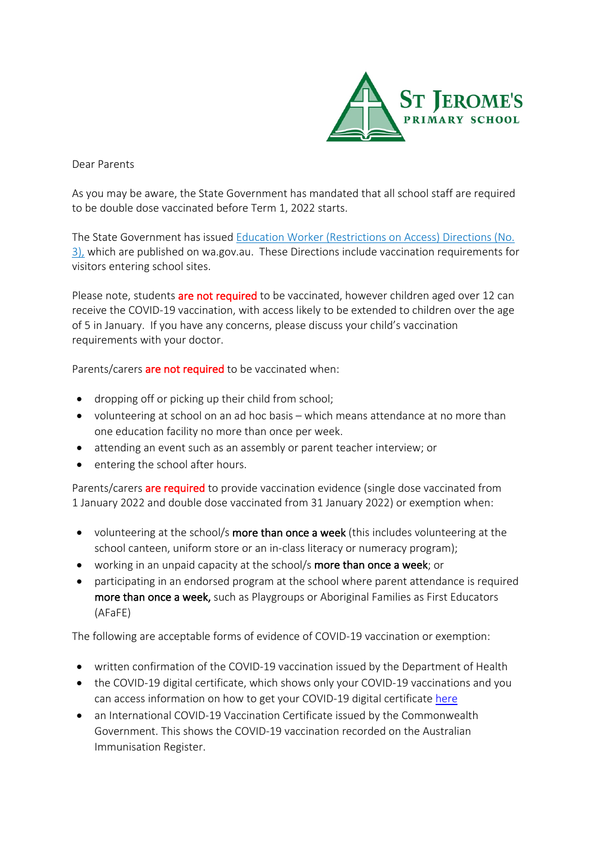

Dear Parents

As you may be aware, the State Government has mandated that all school staff are required to be double dose vaccinated before Term 1, 2022 starts.

The State Government has issued Education Worker (Restrictions on Access) Directions (No. 3), which are published on wa.gov.au. These Directions include vaccination requirements for visitors entering school sites.

Please note, students are not required to be vaccinated, however children aged over 12 can receive the COVID-19 vaccination, with access likely to be extended to children over the age of 5 in January. If you have any concerns, please discuss your child's vaccination requirements with your doctor.

Parents/carers are not required to be vaccinated when:

- dropping off or picking up their child from school;
- volunteering at school on an ad hoc basis which means attendance at no more than one education facility no more than once per week.
- attending an event such as an assembly or parent teacher interview; or
- entering the school after hours.

Parents/carers **are required** to provide vaccination evidence (single dose vaccinated from 1 January 2022 and double dose vaccinated from 31 January 2022) or exemption when:

- volunteering at the school/s more than once a week (this includes volunteering at the school canteen, uniform store or an in-class literacy or numeracy program);
- working in an unpaid capacity at the school/s more than once a week; or
- participating in an endorsed program at the school where parent attendance is required more than once a week, such as Playgroups or Aboriginal Families as First Educators (AFaFE)

The following are acceptable forms of evidence of COVID-19 vaccination or exemption:

- written confirmation of the COVID-19 vaccination issued by the Department of Health
- the COVID-19 digital certificate, which shows only your COVID-19 vaccinations and you can access information on how to get your COVID-19 digital certificate here
- an International COVID-19 Vaccination Certificate issued by the Commonwealth Government. This shows the COVID-19 vaccination recorded on the Australian Immunisation Register.